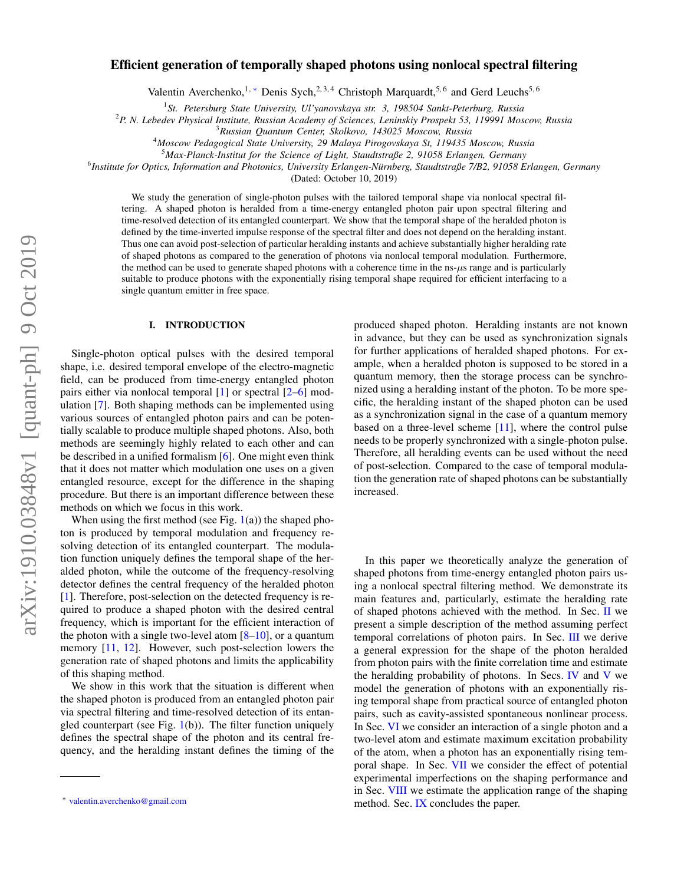# arXiv:1910.03848v1 [quant-ph] 9 Oct 2019 arXiv:1910.03848v1 [quant-ph] 9 Oct 2019

# Efficient generation of temporally shaped photons using nonlocal spectral filtering

Valentin Averchenko,<sup>1, \*</sup> Denis Sych,<sup>2,3,4</sup> Christoph Marquardt,<sup>5,6</sup> and Gerd Leuchs<sup>5,6</sup>

1 *St. Petersburg State University, Ul'yanovskaya str. 3, 198504 Sankt-Peterburg, Russia*

<sup>2</sup>*P. N. Lebedev Physical Institute, Russian Academy of Sciences, Leninskiy Prospekt 53, 119991 Moscow, Russia*

<sup>4</sup>*Moscow Pedagogical State University, 29 Malaya Pirogovskaya St, 119435 Moscow, Russia*

<sup>5</sup>*Max-Planck-Institut for the Science of Light, Staudtstraße 2, 91058 Erlangen, Germany*

6 *Institute for Optics, Information and Photonics, University Erlangen-Nurnberg, Staudtstraße 7/B2, 91058 Erlangen, Germany ¨*

(Dated: October 10, 2019)

We study the generation of single-photon pulses with the tailored temporal shape via nonlocal spectral filtering. A shaped photon is heralded from a time-energy entangled photon pair upon spectral filtering and time-resolved detection of its entangled counterpart. We show that the temporal shape of the heralded photon is defined by the time-inverted impulse response of the spectral filter and does not depend on the heralding instant. Thus one can avoid post-selection of particular heralding instants and achieve substantially higher heralding rate of shaped photons as compared to the generation of photons via nonlocal temporal modulation. Furthermore, the method can be used to generate shaped photons with a coherence time in the ns- $\mu$ s range and is particularly suitable to produce photons with the exponentially rising temporal shape required for efficient interfacing to a single quantum emitter in free space.

## I. INTRODUCTION

Single-photon optical pulses with the desired temporal shape, i.e. desired temporal envelope of the electro-magnetic field, can be produced from time-energy entangled photon pairs either via nonlocal temporal [\[1\]](#page-7-0) or spectral [\[2–](#page-7-1)[6\]](#page-7-2) modulation [\[7\]](#page-7-3). Both shaping methods can be implemented using various sources of entangled photon pairs and can be potentially scalable to produce multiple shaped photons. Also, both methods are seemingly highly related to each other and can be described in a unified formalism [\[6\]](#page-7-2). One might even think that it does not matter which modulation one uses on a given entangled resource, except for the difference in the shaping procedure. But there is an important difference between these methods on which we focus in this work.

When using the first method (see Fig.  $1(a)$  $1(a)$ ) the shaped photon is produced by temporal modulation and frequency resolving detection of its entangled counterpart. The modulation function uniquely defines the temporal shape of the heralded photon, while the outcome of the frequency-resolving detector defines the central frequency of the heralded photon [\[1\]](#page-7-0). Therefore, post-selection on the detected frequency is required to produce a shaped photon with the desired central frequency, which is important for the efficient interaction of the photon with a single two-level atom  $[8-10]$  $[8-10]$ , or a quantum memory [\[11,](#page-8-0) [12\]](#page-8-1). However, such post-selection lowers the generation rate of shaped photons and limits the applicability of this shaping method.

We show in this work that the situation is different when the shaped photon is produced from an entangled photon pair via spectral filtering and time-resolved detection of its entangled counterpart (see Fig.  $1(b)$  $1(b)$ ). The filter function uniquely defines the spectral shape of the photon and its central frequency, and the heralding instant defines the timing of the

produced shaped photon. Heralding instants are not known in advance, but they can be used as synchronization signals for further applications of heralded shaped photons. For example, when a heralded photon is supposed to be stored in a quantum memory, then the storage process can be synchronized using a heralding instant of the photon. To be more specific, the heralding instant of the shaped photon can be used as a synchronization signal in the case of a quantum memory based on a three-level scheme [\[11\]](#page-8-0), where the control pulse needs to be properly synchronized with a single-photon pulse. Therefore, all heralding events can be used without the need of post-selection. Compared to the case of temporal modulation the generation rate of shaped photons can be substantially increased.

In this paper we theoretically analyze the generation of shaped photons from time-energy entangled photon pairs using a nonlocal spectral filtering method. We demonstrate its main features and, particularly, estimate the heralding rate of shaped photons achieved with the method. In Sec. [II](#page-1-1) we present a simple description of the method assuming perfect temporal correlations of photon pairs. In Sec. [III](#page-2-0) we derive a general expression for the shape of the photon heralded from photon pairs with the finite correlation time and estimate the heralding probability of photons. In Secs. [IV](#page-3-0) and [V](#page-4-0) we model the generation of photons with an exponentially rising temporal shape from practical source of entangled photon pairs, such as cavity-assisted spontaneous nonlinear process. In Sec. [VI](#page-5-0) we consider an interaction of a single photon and a two-level atom and estimate maximum excitation probability of the atom, when a photon has an exponentially rising temporal shape. In Sec. [VII](#page-6-0) we consider the effect of potential experimental imperfections on the shaping performance and in Sec. [VIII](#page-6-1) we estimate the application range of the shaping method. Sec. [IX](#page-7-6) concludes the paper.

<sup>3</sup>*Russian Quantum Center, Skolkovo, 143025 Moscow, Russia*

<span id="page-0-0"></span><sup>∗</sup> [valentin.averchenko@gmail.com](mailto:valentin.averchenko@gmail.com)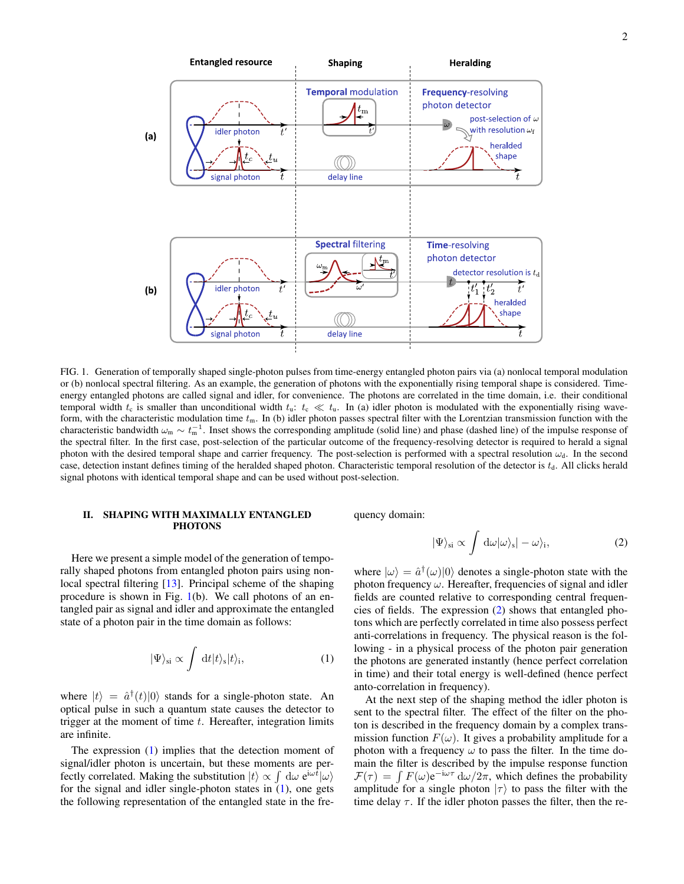

<span id="page-1-0"></span>FIG. 1. Generation of temporally shaped single-photon pulses from time-energy entangled photon pairs via (a) nonlocal temporal modulation or (b) nonlocal spectral filtering. As an example, the generation of photons with the exponentially rising temporal shape is considered. Timeenergy entangled photons are called signal and idler, for convenience. The photons are correlated in the time domain, i.e. their conditional temporal width  $t_c$  is smaller than unconditional width  $t_u$ :  $t_c \ll t_u$ . In (a) idler photon is modulated with the exponentially rising waveform, with the characteristic modulation time  $t<sub>m</sub>$ . In (b) idler photon passes spectral filter with the Lorentzian transmission function with the characteristic bandwidth  $\omega_m \sim t_m^{-1}$ . Inset shows the corresponding amplitude (solid line) and phase (dashed line) of the impulse response of the spectral filter. In the first case, post-selection of the particular outcome of the frequency-resolving detector is required to herald a signal photon with the desired temporal shape and carrier frequency. The post-selection is performed with a spectral resolution  $\omega_d$ . In the second case, detection instant defines timing of the heralded shaped photon. Characteristic temporal resolution of the detector is  $t<sub>d</sub>$ . All clicks herald signal photons with identical temporal shape and can be used without post-selection.

### <span id="page-1-1"></span>II. SHAPING WITH MAXIMALLY ENTANGLED **PHOTONS**

Here we present a simple model of the generation of temporally shaped photons from entangled photon pairs using nonlocal spectral filtering [\[13\]](#page-8-2). Principal scheme of the shaping procedure is shown in Fig.  $1(b)$  $1(b)$ . We call photons of an entangled pair as signal and idler and approximate the entangled state of a photon pair in the time domain as follows:

$$
|\Psi\rangle_{\rm si} \propto \int dt |t\rangle_{\rm s}|t\rangle_{\rm i},\tag{1}
$$

where  $|t\rangle = \hat{a}^{\dagger}(t)|0\rangle$  stands for a single-photon state. An optical pulse in such a quantum state causes the detector to trigger at the moment of time  $t$ . Hereafter, integration limits are infinite.

The expression [\(1\)](#page-1-2) implies that the detection moment of signal/idler photon is uncertain, but these moments are perfectly correlated. Making the substitution  $|t\rangle \propto \int d\omega e^{i\omega \bar{t}} |\omega\rangle$ for the signal and idler single-photon states in [\(1\)](#page-1-2), one gets the following representation of the entangled state in the frequency domain:

<span id="page-1-3"></span>
$$
|\Psi\rangle_{\rm si} \propto \int d\omega |\omega\rangle_{\rm s}| - \omega\rangle_{\rm i},\tag{2}
$$

where  $|\omega\rangle = \hat{a}^{\dagger}(\omega)|0\rangle$  denotes a single-photon state with the photon frequency  $\omega$ . Hereafter, frequencies of signal and idler fields are counted relative to corresponding central frequencies of fields. The expression [\(2\)](#page-1-3) shows that entangled photons which are perfectly correlated in time also possess perfect anti-correlations in frequency. The physical reason is the following - in a physical process of the photon pair generation the photons are generated instantly (hence perfect correlation in time) and their total energy is well-defined (hence perfect anto-correlation in frequency).

<span id="page-1-2"></span>At the next step of the shaping method the idler photon is sent to the spectral filter. The effect of the filter on the photon is described in the frequency domain by a complex transmission function  $F(\omega)$ . It gives a probability amplitude for a photon with a frequency  $\omega$  to pass the filter. In the time domain the filter is described by the impulse response function  $\mathcal{F}(\tau) = \int F(\omega) e^{-i\omega \tau} d\omega / 2\pi$ , which defines the probability amplitude for a single photon  $|\tau\rangle$  to pass the filter with the time delay  $\tau$ . If the idler photon passes the filter, then the re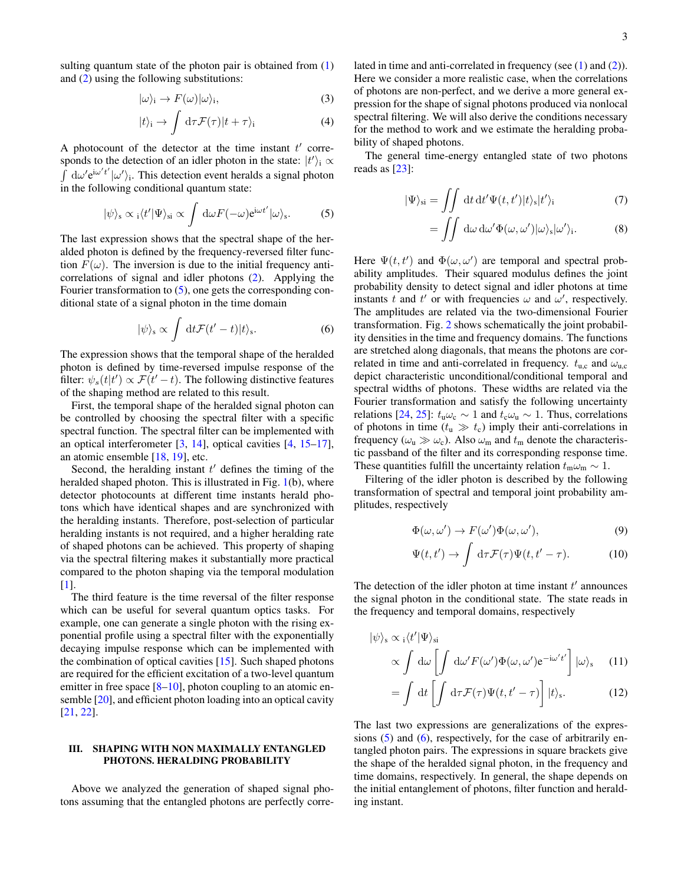sulting quantum state of the photon pair is obtained from  $(1)$ and [\(2\)](#page-1-3) using the following substitutions:

$$
|\omega\rangle_{i} \to F(\omega)|\omega\rangle_{i},\tag{3}
$$

$$
|t\rangle_{\rm i} \to \int \, \mathrm{d}\tau \mathcal{F}(\tau)|t+\tau\rangle_{\rm i} \tag{4}
$$

A photocount of the detector at the time instant  $t'$  corresponds to the detection of an idler photon in the state:  $|t'\rangle_i \propto$  $\int \, d\omega' e^{i\omega' t'} |\omega'\rangle_i$ . This detection event heralds a signal photon in the following conditional quantum state:

$$
|\psi\rangle_{\rm s} \propto {}_{\rm i} \langle t' | \Psi \rangle_{\rm si} \propto \int {\rm d}\omega F(-\omega) e^{{\rm i}\omega t'} |\omega\rangle_{\rm s}.
$$
 (5)

The last expression shows that the spectral shape of the heralded photon is defined by the frequency-reversed filter function  $F(\omega)$ . The inversion is due to the initial frequency anticorrelations of signal and idler photons [\(2\)](#page-1-3). Applying the Fourier transformation to  $(5)$ , one gets the corresponding conditional state of a signal photon in the time domain

$$
|\psi\rangle_{\rm s} \propto \int \, \mathrm{d}t \mathcal{F}(t'-t)|t\rangle_{\rm s}.\tag{6}
$$

The expression shows that the temporal shape of the heralded photon is defined by time-reversed impulse response of the filter:  $\psi_s(t|t') \propto \mathcal{F}(t'-t)$ . The following distinctive features of the shaping method are related to this result.

First, the temporal shape of the heralded signal photon can be controlled by choosing the spectral filter with a specific spectral function. The spectral filter can be implemented with an optical interferometer [\[3,](#page-7-7) [14\]](#page-8-3), optical cavities [\[4,](#page-7-8) [15](#page-8-4)[–17\]](#page-8-5), an atomic ensemble [\[18,](#page-8-6) [19\]](#page-8-7), etc.

Second, the heralding instant  $t'$  defines the timing of the heralded shaped photon. This is illustrated in Fig. [1\(](#page-1-0)b), where detector photocounts at different time instants herald photons which have identical shapes and are synchronized with the heralding instants. Therefore, post-selection of particular heralding instants is not required, and a higher heralding rate of shaped photons can be achieved. This property of shaping via the spectral filtering makes it substantially more practical compared to the photon shaping via the temporal modulation [\[1\]](#page-7-0).

The third feature is the time reversal of the filter response which can be useful for several quantum optics tasks. For example, one can generate a single photon with the rising exponential profile using a spectral filter with the exponentially decaying impulse response which can be implemented with the combination of optical cavities [\[15\]](#page-8-4). Such shaped photons are required for the efficient excitation of a two-level quantum emitter in free space  $[8-10]$  $[8-10]$ , photon coupling to an atomic ensemble [\[20\]](#page-8-8), and efficient photon loading into an optical cavity [\[21,](#page-8-9) [22\]](#page-8-10).

### <span id="page-2-0"></span>III. SHAPING WITH NON MAXIMALLY ENTANGLED PHOTONS. HERALDING PROBABILITY

Above we analyzed the generation of shaped signal photons assuming that the entangled photons are perfectly correlated in time and anti-correlated in frequency (see [\(1\)](#page-1-2) and [\(2\)](#page-1-3)). Here we consider a more realistic case, when the correlations of photons are non-perfect, and we derive a more general expression for the shape of signal photons produced via nonlocal spectral filtering. We will also derive the conditions necessary for the method to work and we estimate the heralding probability of shaped photons.

<span id="page-2-7"></span><span id="page-2-1"></span>The general time-energy entangled state of two photons reads as [\[23\]](#page-8-11):

$$
|\Psi\rangle_{\rm si} = \iint \det \mathrm{d}t' \Psi(t, t') |t\rangle_{\rm s} |t'\rangle_{\rm i} \tag{7}
$$

$$
= \iint d\omega \, d\omega' \Phi(\omega, \omega') |\omega\rangle_{\rm s} |\omega'\rangle_{\rm i}. \tag{8}
$$

<span id="page-2-2"></span>Here  $\Psi(t, t')$  and  $\Phi(\omega, \omega')$  are temporal and spectral probability amplitudes. Their squared modulus defines the joint probability density to detect signal and idler photons at time instants t and t' or with frequencies  $\omega$  and  $\omega'$ , respectively. The amplitudes are related via the two-dimensional Fourier transformation. Fig. [2](#page-3-1) shows schematically the joint probability densities in the time and frequency domains. The functions are stretched along diagonals, that means the photons are correlated in time and anti-correlated in frequency.  $t_{\text{u.c}}$  and  $\omega_{\text{u.c}}$ depict characteristic unconditional/conditional temporal and spectral widths of photons. These widths are related via the Fourier transformation and satisfy the following uncertainty relations [\[24,](#page-8-12) [25\]](#page-8-13):  $t_{\rm u}\omega_{\rm c} \sim 1$  and  $t_{\rm c}\omega_{\rm u} \sim 1$ . Thus, correlations of photons in time ( $t<sub>u</sub> \gg t<sub>c</sub>$ ) imply their anti-correlations in frequency ( $\omega_u \gg \omega_c$ ). Also  $\omega_m$  and  $t_m$  denote the characteristic passband of the filter and its corresponding response time. These quantities fulfill the uncertainty relation  $t_m \omega_m \sim 1$ .

Filtering of the idler photon is described by the following transformation of spectral and temporal joint probability amplitudes, respectively

<span id="page-2-6"></span><span id="page-2-5"></span>
$$
\Phi(\omega, \omega') \to F(\omega')\Phi(\omega, \omega'),\tag{9}
$$

$$
\Psi(t, t') \to \int d\tau \mathcal{F}(\tau) \Psi(t, t' - \tau). \tag{10}
$$

The detection of the idler photon at time instant  $t'$  announces the signal photon in the conditional state. The state reads in the frequency and temporal domains, respectively

$$
|\psi\rangle_{s} \propto i \langle t' | \Psi \rangle_{si}
$$
  
 
$$
\propto \int d\omega \left[ \int d\omega' F(\omega') \Phi(\omega, \omega') e^{-i\omega' t'} \right] |\omega\rangle_{s} \quad (11)
$$

<span id="page-2-4"></span><span id="page-2-3"></span>
$$
= \int dt \left[ \int d\tau \mathcal{F}(\tau) \Psi(t, t'-\tau) \right] |t\rangle_{\rm s}.
$$
 (12)

The last two expressions are generalizations of the expressions  $(5)$  and  $(6)$ , respectively, for the case of arbitrarily entangled photon pairs. The expressions in square brackets give the shape of the heralded signal photon, in the frequency and time domains, respectively. In general, the shape depends on the initial entanglement of photons, filter function and heralding instant.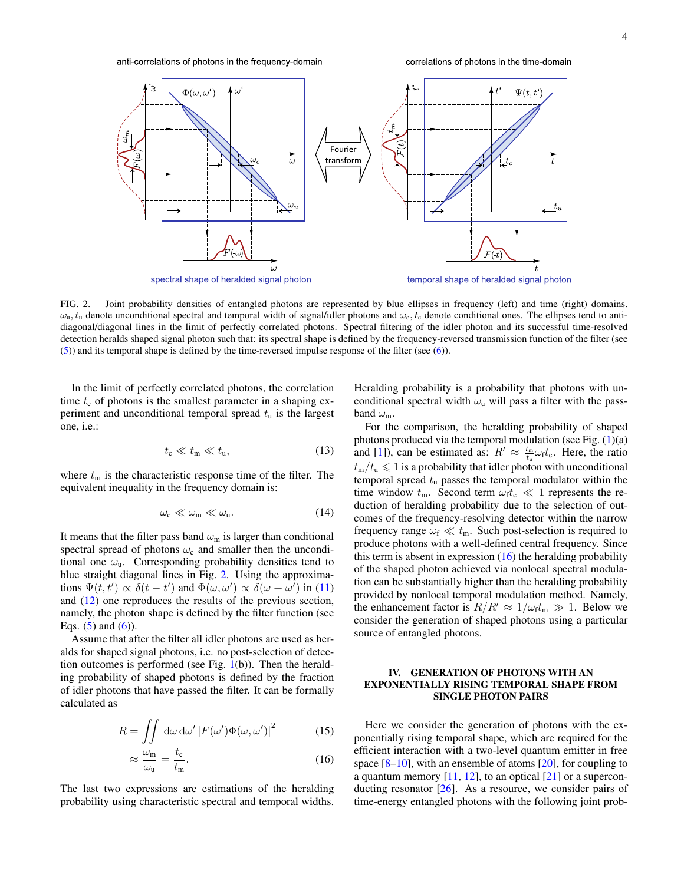anti-correlations of photons in the frequency-domain

correlations of photons in the time-domain



<span id="page-3-1"></span>FIG. 2. Joint probability densities of entangled photons are represented by blue ellipses in frequency (left) and time (right) domains.  $\omega_{u}, t_{u}$  denote unconditional spectral and temporal width of signal/idler photons and  $\omega_{c}, t_{c}$  denote conditional ones. The ellipses tend to antidiagonal/diagonal lines in the limit of perfectly correlated photons. Spectral filtering of the idler photon and its successful time-resolved detection heralds shaped signal photon such that: its spectral shape is defined by the frequency-reversed transmission function of the filter (see [\(5\)](#page-2-1)) and its temporal shape is defined by the time-reversed impulse response of the filter (see [\(6\)](#page-2-2)).

In the limit of perfectly correlated photons, the correlation time  $t_c$  of photons is the smallest parameter in a shaping experiment and unconditional temporal spread  $t<sub>u</sub>$  is the largest one, i.e.:

$$
t_{\rm c} \ll t_{\rm m} \ll t_{\rm u},\tag{13}
$$

where  $t<sub>m</sub>$  is the characteristic response time of the filter. The equivalent inequality in the frequency domain is:

$$
\omega_{\rm c} \ll \omega_{\rm m} \ll \omega_{\rm u}.\tag{14}
$$

It means that the filter pass band  $\omega_m$  is larger than conditional spectral spread of photons  $\omega_c$  and smaller then the unconditional one  $\omega_{\rm u}$ . Corresponding probability densities tend to blue straight diagonal lines in Fig. [2.](#page-3-1) Using the approximations  $\Psi(t, t') \propto \delta(t - t')$  and  $\Phi(\omega, \omega') \propto \delta(\omega + \omega')$  in [\(11\)](#page-2-3) and [\(12\)](#page-2-4) one reproduces the results of the previous section, namely, the photon shape is defined by the filter function (see Eqs.  $(5)$  and  $(6)$ ).

Assume that after the filter all idler photons are used as heralds for shaped signal photons, i.e. no post-selection of detection outcomes is performed (see Fig.  $1(b)$  $1(b)$ ). Then the heralding probability of shaped photons is defined by the fraction of idler photons that have passed the filter. It can be formally calculated as

$$
R = \iint d\omega \, d\omega' \left| F(\omega') \Phi(\omega, \omega') \right|^2 \tag{15}
$$

$$
\approx \frac{\omega_{\rm m}}{\omega_{\rm u}} = \frac{t_{\rm c}}{t_{\rm m}}.\tag{16}
$$

The last two expressions are estimations of the heralding probability using characteristic spectral and temporal widths.

Heralding probability is a probability that photons with unconditional spectral width  $\omega_{\rm u}$  will pass a filter with the passband  $\omega_{m}$ .

<span id="page-3-4"></span>For the comparison, the heralding probability of shaped photons produced via the temporal modulation (see Fig.  $(1)(a)$  $(1)(a)$ and [\[1\]](#page-7-0)), can be estimated as:  $R' \approx \frac{t_{\text{m}}}{t_{\text{u}}} \omega_{\text{f}} t_{\text{c}}$ . Here, the ratio  $t_{\rm m}/t_{\rm u} \leqslant 1$  is a probability that idler photon with unconditional temporal spread  $t<sub>u</sub>$  passes the temporal modulator within the time window  $t_m$ . Second term  $\omega_f t_c \ll 1$  represents the reduction of heralding probability due to the selection of outcomes of the frequency-resolving detector within the narrow frequency range  $\omega_f \ll t_m$ . Such post-selection is required to produce photons with a well-defined central frequency. Since this term is absent in expression  $(16)$  the heralding probability of the shaped photon achieved via nonlocal spectral modulation can be substantially higher than the heralding probability provided by nonlocal temporal modulation method. Namely, the enhancement factor is  $R/R' \approx 1/\omega_f t_m \gg 1$ . Below we consider the generation of shaped photons using a particular source of entangled photons.

## <span id="page-3-0"></span>IV. GENERATION OF PHOTONS WITH AN EXPONENTIALLY RISING TEMPORAL SHAPE FROM SINGLE PHOTON PAIRS

<span id="page-3-3"></span><span id="page-3-2"></span>Here we consider the generation of photons with the exponentially rising temporal shape, which are required for the efficient interaction with a two-level quantum emitter in free space  $[8-10]$  $[8-10]$ , with an ensemble of atoms  $[20]$ , for coupling to a quantum memory  $[11, 12]$  $[11, 12]$  $[11, 12]$ , to an optical  $[21]$  or a superconducting resonator [\[26\]](#page-8-14). As a resource, we consider pairs of time-energy entangled photons with the following joint prob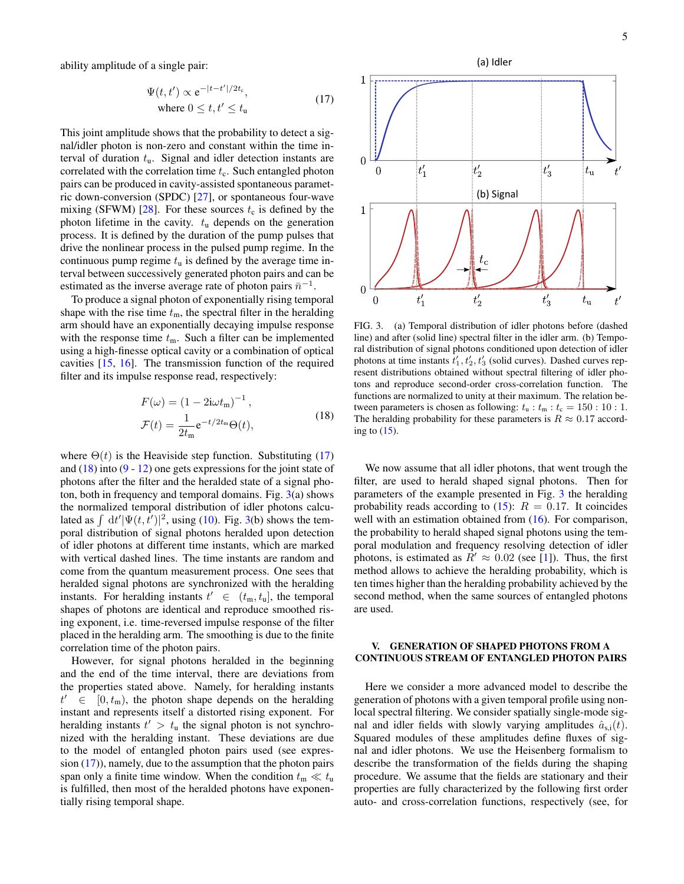ability amplitude of a single pair:

$$
\Psi(t, t') \propto e^{-|t - t'|/2t_c},
$$
  
where  $0 \le t, t' \le t_u$  (17)

This joint amplitude shows that the probability to detect a signal/idler photon is non-zero and constant within the time interval of duration  $t<sub>u</sub>$ . Signal and idler detection instants are correlated with the correlation time  $t_c$ . Such entangled photon pairs can be produced in cavity-assisted spontaneous parametric down-conversion (SPDC) [\[27\]](#page-8-15), or spontaneous four-wave mixing (SFWM) [\[28\]](#page-8-16). For these sources  $t_c$  is defined by the photon lifetime in the cavity.  $t<sub>u</sub>$  depends on the generation process. It is defined by the duration of the pump pulses that drive the nonlinear process in the pulsed pump regime. In the continuous pump regime  $t<sub>u</sub>$  is defined by the average time interval between successively generated photon pairs and can be estimated as the inverse average rate of photon pairs  $\bar{n}^{-1}$ .

To produce a signal photon of exponentially rising temporal shape with the rise time  $t<sub>m</sub>$ , the spectral filter in the heralding arm should have an exponentially decaying impulse response with the response time  $t_m$ . Such a filter can be implemented using a high-finesse optical cavity or a combination of optical cavities [\[15,](#page-8-4) [16\]](#page-8-17). The transmission function of the required filter and its impulse response read, respectively:

$$
F(\omega) = (1 - 2\mathrm{i}\omega t_{\mathrm{m}})^{-1},
$$
  
\n
$$
\mathcal{F}(t) = \frac{1}{2t_{\mathrm{m}}} e^{-t/2t_{\mathrm{m}}} \Theta(t),
$$
\n(18)

where  $\Theta(t)$  is the Heaviside step function. Substituting [\(17\)](#page-4-1) and  $(18)$  into  $(9 - 12)$  $(9 - 12)$  $(9 - 12)$  one gets expressions for the joint state of photons after the filter and the heralded state of a signal photon, both in frequency and temporal domains. Fig.  $3(a)$  $3(a)$  shows the normalized temporal distribution of idler photons calculated as  $\int dt' |\Psi(t, t')|^2$ , using [\(10\)](#page-2-6). Fig. [3\(](#page-4-3)b) shows the temporal distribution of signal photons heralded upon detection of idler photons at different time instants, which are marked with vertical dashed lines. The time instants are random and come from the quantum measurement process. One sees that heralded signal photons are synchronized with the heralding instants. For heralding instants  $t' \in (t_m, t_u]$ , the temporal shapes of photons are identical and reproduce smoothed rising exponent, i.e. time-reversed impulse response of the filter placed in the heralding arm. The smoothing is due to the finite correlation time of the photon pairs.

However, for signal photons heralded in the beginning and the end of the time interval, there are deviations from the properties stated above. Namely, for heralding instants  $t' \in$  $[0, t<sub>m</sub>)$ , the photon shape depends on the heralding instant and represents itself a distorted rising exponent. For heralding instants  $t' > t<sub>u</sub>$  the signal photon is not synchronized with the heralding instant. These deviations are due to the model of entangled photon pairs used (see expression  $(17)$ ), namely, due to the assumption that the photon pairs span only a finite time window. When the condition  $t_m \ll t_u$ is fulfilled, then most of the heralded photons have exponentially rising temporal shape.

<span id="page-4-1"></span>

<span id="page-4-3"></span>FIG. 3. (a) Temporal distribution of idler photons before (dashed line) and after (solid line) spectral filter in the idler arm. (b) Temporal distribution of signal photons conditioned upon detection of idler photons at time instants  $t'_1, t'_2, t'_3$  (solid curves). Dashed curves represent distributions obtained without spectral filtering of idler photons and reproduce second-order cross-correlation function. The functions are normalized to unity at their maximum. The relation between parameters is chosen as following:  $t<sub>u</sub>$  :  $t<sub>m</sub>$  :  $t<sub>c</sub> = 150$  : 10 : 1. The heralding probability for these parameters is  $R \approx 0.17$  according to  $(15)$ .

<span id="page-4-2"></span>We now assume that all idler photons, that went trough the filter, are used to herald shaped signal photons. Then for parameters of the example presented in Fig. [3](#page-4-3) the heralding probability reads according to  $(15)$ :  $R = 0.17$ . It coincides well with an estimation obtained from  $(16)$ . For comparison, the probability to herald shaped signal photons using the temporal modulation and frequency resolving detection of idler photons, is estimated as  $R' \approx 0.02$  (see [\[1\]](#page-7-0)). Thus, the first method allows to achieve the heralding probability, which is ten times higher than the heralding probability achieved by the second method, when the same sources of entangled photons are used.

### <span id="page-4-0"></span>V. GENERATION OF SHAPED PHOTONS FROM A CONTINUOUS STREAM OF ENTANGLED PHOTON PAIRS

Here we consider a more advanced model to describe the generation of photons with a given temporal profile using nonlocal spectral filtering. We consider spatially single-mode signal and idler fields with slowly varying amplitudes  $\hat{a}_{s,i}(t)$ . Squared modules of these amplitudes define fluxes of signal and idler photons. We use the Heisenberg formalism to describe the transformation of the fields during the shaping procedure. We assume that the fields are stationary and their properties are fully characterized by the following first order auto- and cross-correlation functions, respectively (see, for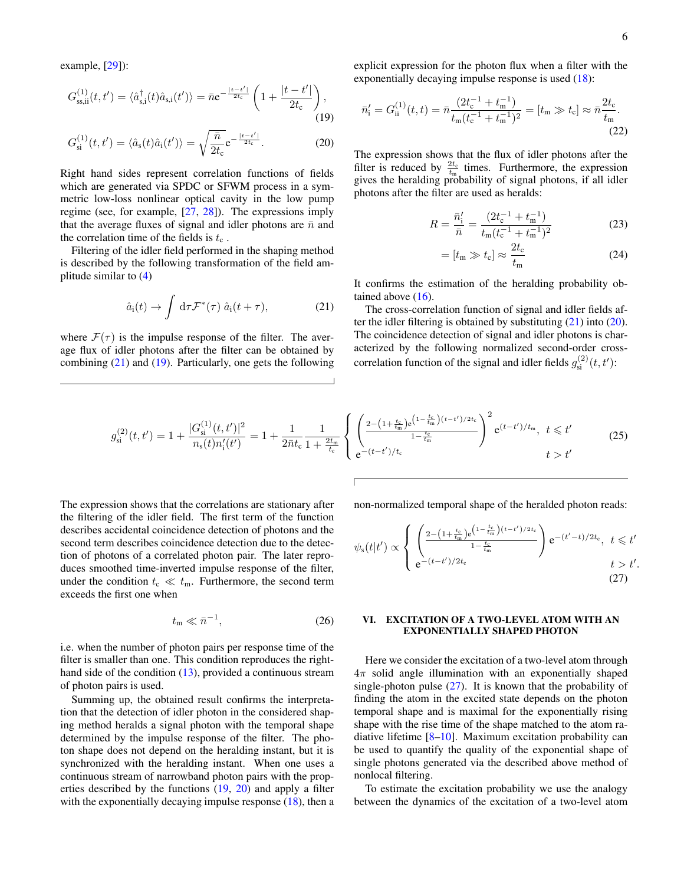<span id="page-5-6"></span><span id="page-5-4"></span>.

example, [\[29\]](#page-8-18)):

$$
G_{\rm ssi}^{(1)}(t,t') = \langle \hat{a}_{\rm s,i}^{\dagger}(t)\hat{a}_{\rm s,i}(t')\rangle = \bar{n}e^{-\frac{|t-t'|}{2t_{\rm c}}}\left(1 + \frac{|t-t'|}{2t_{\rm c}}\right),\tag{19}
$$

$$
G_{\rm si}^{(1)}(t,t') = \langle \hat{a}_{\rm s}(t)\hat{a}_{\rm i}(t')\rangle = \sqrt{\frac{\bar{n}}{2t_{\rm c}}}e^{-\frac{|t-t'|}{2t_{\rm c}}}.\tag{20}
$$

Right hand sides represent correlation functions of fields which are generated via SPDC or SFWM process in a symmetric low-loss nonlinear optical cavity in the low pump regime (see, for example, [\[27,](#page-8-15) [28\]](#page-8-16)). The expressions imply that the average fluxes of signal and idler photons are  $\bar{n}$  and the correlation time of the fields is  $t_c$ .

Filtering of the idler field performed in the shaping method is described by the following transformation of the field amplitude similar to [\(4\)](#page-2-7)

$$
\hat{a}_i(t) \to \int d\tau \mathcal{F}^*(\tau) \; \hat{a}_i(t+\tau), \tag{21}
$$

where  $\mathcal{F}(\tau)$  is the impulse response of the filter. The average flux of idler photons after the filter can be obtained by combining  $(21)$  and  $(19)$ . Particularly, one gets the following explicit expression for the photon flux when a filter with the exponentially decaying impulse response is used [\(18\)](#page-4-2):

<span id="page-5-2"></span>
$$
\bar{n}'_i = G_{ii}^{(1)}(t, t) = \bar{n} \frac{(2t_c^{-1} + t_m^{-1})}{t_m(t_c^{-1} + t_m^{-1})^2} = [t_m \gg t_c] \approx \bar{n} \frac{2t_c}{t_m}.
$$
\n(22)

<span id="page-5-3"></span>The expression shows that the flux of idler photons after the filter is reduced by  $\frac{2t_c}{t_m}$  times. Furthermore, the expression gives the heralding probability of signal photons, if all idler photons after the filter are used as heralds:

$$
R = \frac{\bar{n}_i'}{\bar{n}} = \frac{(2t_c^{-1} + t_m^{-1})}{t_m(t_c^{-1} + t_m^{-1})^2}
$$
(23)

<span id="page-5-5"></span>
$$
= [t_{\rm m} \gg t_{\rm c}] \approx \frac{2t_{\rm c}}{t_{\rm m}} \tag{24}
$$

It confirms the estimation of the heralding probability obtained above  $(16)$ .

<span id="page-5-1"></span>The cross-correlation function of signal and idler fields after the idler filtering is obtained by substituting [\(21\)](#page-5-1) into [\(20\)](#page-5-3). The coincidence detection of signal and idler photons is characterized by the following normalized second-order crosscorrelation function of the signal and idler fields  $g_{si}^{(2)}(t, t')$ :

$$
g_{\rm si}^{(2)}(t,t') = 1 + \frac{|G_{\rm si}^{(1)}(t,t')|^2}{n_{\rm s}(t)n'_{\rm i}(t')} = 1 + \frac{1}{2\bar{n}t_{\rm c}} \frac{1}{1 + \frac{2t_{\rm m}}{t_{\rm c}}} \left\{ \left( \frac{2 - \left(1 + \frac{t_{\rm c}}{t_{\rm m}}\right)e^{\left(1 - \frac{t_{\rm c}}{t_{\rm m}}\right)(t - t')/2t_{\rm c}}}{1 - \frac{t_{\rm c}}{t_{\rm m}}} \right)^2 e^{(t - t')/t_{\rm m}}, \ t \leq t' \qquad (25)
$$

The expression shows that the correlations are stationary after the filtering of the idler field. The first term of the function describes accidental coincidence detection of photons and the second term describes coincidence detection due to the detection of photons of a correlated photon pair. The later reproduces smoothed time-inverted impulse response of the filter, under the condition  $t_c \ll t_m$ . Furthermore, the second term exceeds the first one when

$$
t_{\rm m} \ll \bar{n}^{-1},\tag{26}
$$

i.e. when the number of photon pairs per response time of the filter is smaller than one. This condition reproduces the righthand side of the condition  $(13)$ , provided a continuous stream of photon pairs is used.

Summing up, the obtained result confirms the interpretation that the detection of idler photon in the considered shaping method heralds a signal photon with the temporal shape determined by the impulse response of the filter. The photon shape does not depend on the heralding instant, but it is synchronized with the heralding instant. When one uses a continuous stream of narrowband photon pairs with the properties described by the functions [\(19,](#page-5-2) [20\)](#page-5-3) and apply a filter with the exponentially decaying impulse response [\(18\)](#page-4-2), then a non-normalized temporal shape of the heralded photon reads:

$$
\psi_{s}(t|t') \propto \begin{cases} \left(\frac{2 - \left(1 + \frac{t_{c}}{t_{m}}\right)e^{\left(1 - \frac{t_{c}}{t_{m}}\right)(t - t')/2t_{c}}}{1 - \frac{t_{c}}{t_{m}}}\right)e^{-(t' - t)/2t_{c}}, & t \leq t'\\ e^{-(t - t')/2t_{c}} & t > t' \end{cases}
$$
\n(27)

### <span id="page-5-7"></span><span id="page-5-0"></span>VI. EXCITATION OF A TWO-LEVEL ATOM WITH AN EXPONENTIALLY SHAPED PHOTON

Here we consider the excitation of a two-level atom through  $4\pi$  solid angle illumination with an exponentially shaped single-photon pulse  $(27)$ . It is known that the probability of finding the atom in the excited state depends on the photon temporal shape and is maximal for the exponentially rising shape with the rise time of the shape matched to the atom radiative lifetime [\[8](#page-7-4)[–10\]](#page-7-5). Maximum excitation probability can be used to quantify the quality of the exponential shape of single photons generated via the described above method of nonlocal filtering.

To estimate the excitation probability we use the analogy between the dynamics of the excitation of a two-level atom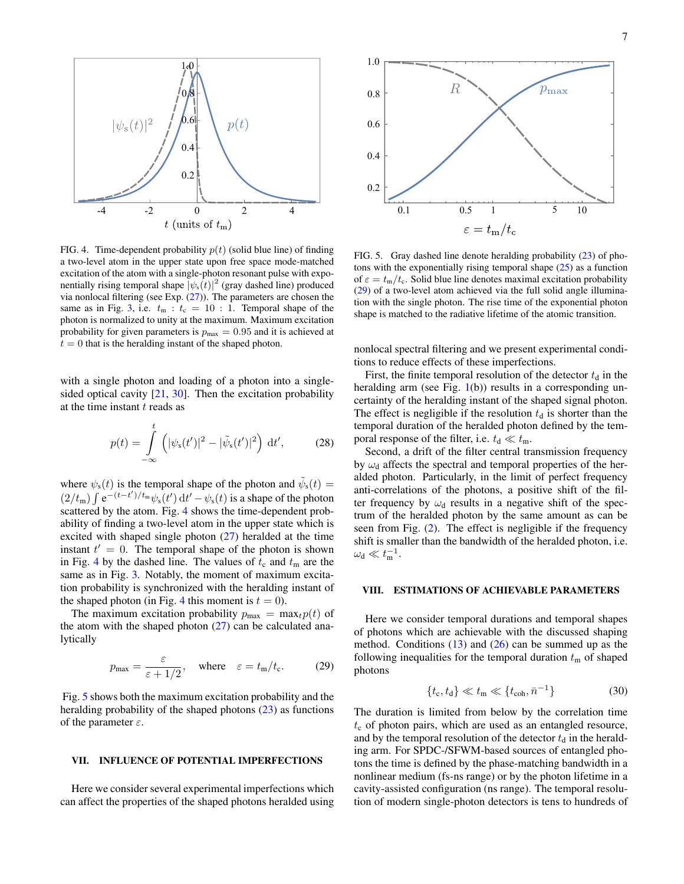

<span id="page-6-2"></span>FIG. 4. Time-dependent probability  $p(t)$  (solid blue line) of finding a two-level atom in the upper state upon free space mode-matched excitation of the atom with a single-photon resonant pulse with exponentially rising temporal shape  $|\psi_s(t)|^2$  (gray dashed line) produced via nonlocal filtering (see Exp.  $(27)$ ). The parameters are chosen the same as in Fig. [3,](#page-4-3) i.e.  $t_m : t_c = 10 : 1$ . Temporal shape of the photon is normalized to unity at the maximum. Maximum excitation probability for given parameters is  $p_{\text{max}} = 0.95$  and it is achieved at  $t = 0$  that is the heralding instant of the shaped photon.

with a single photon and loading of a photon into a single-sided optical cavity [\[21,](#page-8-9) [30\]](#page-8-19). Then the excitation probability at the time instant  $t$  reads as

$$
p(t) = \int_{-\infty}^{t} \left( |\psi_{s}(t')|^{2} - |\tilde{\psi}_{s}(t')|^{2} \right) dt', \qquad (28)
$$

where  $\psi_s(t)$  is the temporal shape of the photon and  $\tilde{\psi}_s(t) =$  $(2/t_m) \int e^{-(t-t')/t_m} \psi_s(t') dt' - \psi_s(t)$  is a shape of the photon scattered by the atom. Fig. [4](#page-6-2) shows the time-dependent probability of finding a two-level atom in the upper state which is excited with shaped single photon  $(27)$  heralded at the time instant  $t' = 0$ . The temporal shape of the photon is shown in Fig. [4](#page-6-2) by the dashed line. The values of  $t_c$  and  $t_m$  are the same as in Fig. [3.](#page-4-3) Notably, the moment of maximum excitation probability is synchronized with the heralding instant of the shaped photon (in Fig. [4](#page-6-2) this moment is  $t = 0$ ).

The maximum excitation probability  $p_{\text{max}} = \max_t p(t)$  of the atom with the shaped photon  $(27)$  can be calculated analytically

$$
p_{\text{max}} = \frac{\varepsilon}{\varepsilon + 1/2}, \quad \text{where} \quad \varepsilon = t_{\text{m}}/t_{\text{c}}. \tag{29}
$$

Fig. [5](#page-6-3) shows both the maximum excitation probability and the heralding probability of the shaped photons  $(23)$  as functions of the parameter  $\varepsilon$ .

### <span id="page-6-0"></span>VII. INFLUENCE OF POTENTIAL IMPERFECTIONS

Here we consider several experimental imperfections which can affect the properties of the shaped photons heralded using



<span id="page-6-3"></span>FIG. 5. Gray dashed line denote heralding probability [\(23\)](#page-5-5) of photons with the exponentially rising temporal shape  $(25)$  as a function of  $\varepsilon = t_m/t_c$ . Solid blue line denotes maximal excitation probability [\(29\)](#page-6-4) of a two-level atom achieved via the full solid angle illumination with the single photon. The rise time of the exponential photon shape is matched to the radiative lifetime of the atomic transition.

nonlocal spectral filtering and we present experimental conditions to reduce effects of these imperfections.

First, the finite temporal resolution of the detector  $t_d$  in the heralding arm (see Fig.  $1(b)$  $1(b)$ ) results in a corresponding uncertainty of the heralding instant of the shaped signal photon. The effect is negligible if the resolution  $t<sub>d</sub>$  is shorter than the temporal duration of the heralded photon defined by the temporal response of the filter, i.e.  $t_d \ll t_m$ .

Second, a drift of the filter central transmission frequency by  $\omega_d$  affects the spectral and temporal properties of the heralded photon. Particularly, in the limit of perfect frequency anti-correlations of the photons, a positive shift of the filter frequency by  $\omega_d$  results in a negative shift of the spectrum of the heralded photon by the same amount as can be seen from Fig. [\(2\)](#page-3-1). The effect is negligible if the frequency shift is smaller than the bandwidth of the heralded photon, i.e.  $\omega_{\rm d} \ll t_{\rm m}^{-1}.$ 

### <span id="page-6-1"></span>VIII. ESTIMATIONS OF ACHIEVABLE PARAMETERS

<span id="page-6-4"></span>Here we consider temporal durations and temporal shapes of photons which are achievable with the discussed shaping method. Conditions  $(13)$  and  $(26)$  can be summed up as the following inequalities for the temporal duration  $t<sub>m</sub>$  of shaped photons

$$
\{t_{\rm c}, t_{\rm d}\} \ll t_{\rm m} \ll \{t_{\rm coh}, \bar{n}^{-1}\}\tag{30}
$$

The duration is limited from below by the correlation time  $t_c$  of photon pairs, which are used as an entangled resource, and by the temporal resolution of the detector  $t_d$  in the heralding arm. For SPDC-/SFWM-based sources of entangled photons the time is defined by the phase-matching bandwidth in a nonlinear medium (fs-ns range) or by the photon lifetime in a cavity-assisted configuration (ns range). The temporal resolution of modern single-photon detectors is tens to hundreds of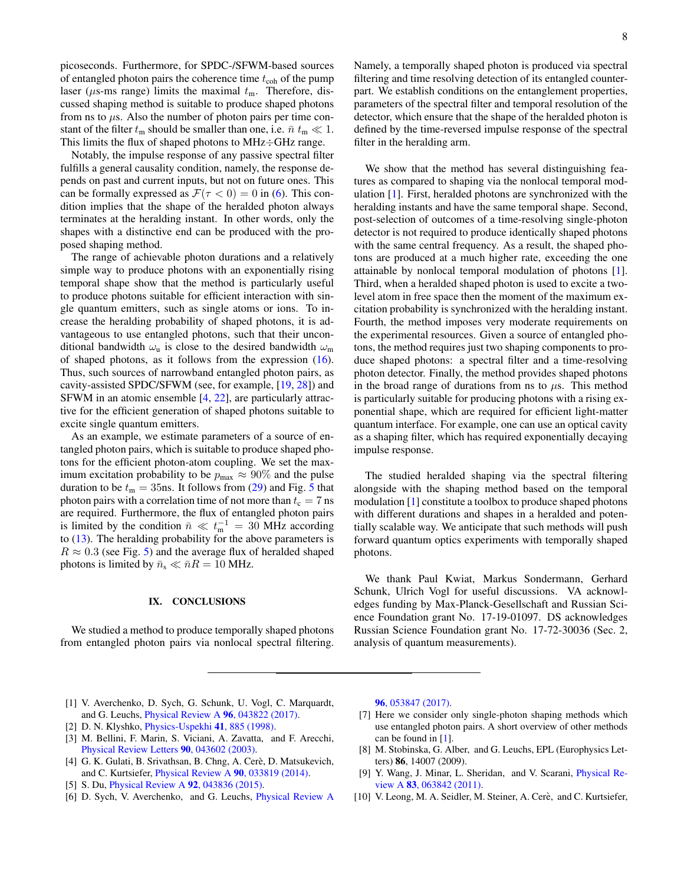picoseconds. Furthermore, for SPDC-/SFWM-based sources of entangled photon pairs the coherence time  $t_{\rm coh}$  of the pump laser ( $\mu$ s-ms range) limits the maximal  $t_m$ . Therefore, discussed shaping method is suitable to produce shaped photons from ns to  $\mu$ s. Also the number of photon pairs per time constant of the filter  $t_m$  should be smaller than one, i.e.  $\bar{n} t_m \ll 1$ . This limits the flux of shaped photons to MHz÷GHz range.

Notably, the impulse response of any passive spectral filter fulfills a general causality condition, namely, the response depends on past and current inputs, but not on future ones. This can be formally expressed as  $\mathcal{F}(\tau < 0) = 0$  in [\(6\)](#page-2-2). This condition implies that the shape of the heralded photon always terminates at the heralding instant. In other words, only the shapes with a distinctive end can be produced with the proposed shaping method.

The range of achievable photon durations and a relatively simple way to produce photons with an exponentially rising temporal shape show that the method is particularly useful to produce photons suitable for efficient interaction with single quantum emitters, such as single atoms or ions. To increase the heralding probability of shaped photons, it is advantageous to use entangled photons, such that their unconditional bandwidth  $\omega_{\rm n}$  is close to the desired bandwidth  $\omega_{\rm m}$ of shaped photons, as it follows from the expression [\(16\)](#page-3-2). Thus, such sources of narrowband entangled photon pairs, as cavity-assisted SPDC/SFWM (see, for example, [\[19,](#page-8-7) [28\]](#page-8-16)) and SFWM in an atomic ensemble [\[4,](#page-7-8) [22\]](#page-8-10), are particularly attractive for the efficient generation of shaped photons suitable to excite single quantum emitters.

As an example, we estimate parameters of a source of entangled photon pairs, which is suitable to produce shaped photons for the efficient photon-atom coupling. We set the maximum excitation probability to be  $p_{\text{max}} \approx 90\%$  and the pulse duration to be  $t_m = 35$  $t_m = 35$ ns. It follows from [\(29\)](#page-6-4) and Fig. 5 that photon pairs with a correlation time of not more than  $t_c = 7$  ns are required. Furthermore, the flux of entangled photon pairs is limited by the condition  $\bar{n} \ll t_{\rm m}^{-1} = 30$  MHz according to  $(13)$ . The heralding probability for the above parameters is  $R \approx 0.3$  (see Fig. [5\)](#page-6-3) and the average flux of heralded shaped photons is limited by  $\bar{n}_{s} \ll \bar{n}R = 10$  MHz.

## <span id="page-7-6"></span>IX. CONCLUSIONS

We studied a method to produce temporally shaped photons from entangled photon pairs via nonlocal spectral filtering.

Namely, a temporally shaped photon is produced via spectral filtering and time resolving detection of its entangled counterpart. We establish conditions on the entanglement properties, parameters of the spectral filter and temporal resolution of the detector, which ensure that the shape of the heralded photon is defined by the time-reversed impulse response of the spectral filter in the heralding arm.

We show that the method has several distinguishing features as compared to shaping via the nonlocal temporal modulation [\[1\]](#page-7-0). First, heralded photons are synchronized with the heralding instants and have the same temporal shape. Second, post-selection of outcomes of a time-resolving single-photon detector is not required to produce identically shaped photons with the same central frequency. As a result, the shaped photons are produced at a much higher rate, exceeding the one attainable by nonlocal temporal modulation of photons [\[1\]](#page-7-0). Third, when a heralded shaped photon is used to excite a twolevel atom in free space then the moment of the maximum excitation probability is synchronized with the heralding instant. Fourth, the method imposes very moderate requirements on the experimental resources. Given a source of entangled photons, the method requires just two shaping components to produce shaped photons: a spectral filter and a time-resolving photon detector. Finally, the method provides shaped photons in the broad range of durations from ns to  $\mu$ s. This method is particularly suitable for producing photons with a rising exponential shape, which are required for efficient light-matter quantum interface. For example, one can use an optical cavity as a shaping filter, which has required exponentially decaying impulse response.

The studied heralded shaping via the spectral filtering alongside with the shaping method based on the temporal modulation [\[1\]](#page-7-0) constitute a toolbox to produce shaped photons with different durations and shapes in a heralded and potentially scalable way. We anticipate that such methods will push forward quantum optics experiments with temporally shaped photons.

We thank Paul Kwiat, Markus Sondermann, Gerhard Schunk, Ulrich Vogl for useful discussions. VA acknowledges funding by Max-Planck-Gesellschaft and Russian Science Foundation grant No. 17-19-01097. DS acknowledges Russian Science Foundation grant No. 17-72-30036 (Sec. 2, analysis of quantum measurements).

- <span id="page-7-0"></span>[1] V. Averchenko, D. Sych, G. Schunk, U. Vogl, C. Marquardt, and G. Leuchs, [Physical Review A](http://dx.doi.org/ 10.1103/PhysRevA.96.043822) 96, 043822 (2017).
- <span id="page-7-1"></span>[2] D. N. Klyshko, [Physics-Uspekhi](http://dx.doi.org/10.1070/PU1998v041n09ABEH000441) 41, 885 (1998).
- <span id="page-7-7"></span>[3] M. Bellini, F. Marin, S. Viciani, A. Zavatta, and F. Arecchi, [Physical Review Letters](http://dx.doi.org/ 10.1103/PhysRevLett.90.043602) 90, 043602 (2003).
- <span id="page-7-8"></span>[4] G. K. Gulati, B. Srivathsan, B. Chng, A. Cerè, D. Matsukevich, and C. Kurtsiefer, [Physical Review A](http://dx.doi.org/ 10.1103/PhysRevA.90.033819) 90, 033819 (2014).
- [5] S. Du, [Physical Review A](http://dx.doi.org/10.1103/PhysRevA.92.043836) 92, 043836 (2015).
- <span id="page-7-2"></span>[6] D. Sych, V. Averchenko, and G. Leuchs, [Physical Review A](http://dx.doi.org/10.1103/PhysRevA.96.053847)

96[, 053847 \(2017\).](http://dx.doi.org/10.1103/PhysRevA.96.053847)

- <span id="page-7-3"></span>[7] Here we consider only single-photon shaping methods which use entangled photon pairs. A short overview of other methods can be found in [\[1\]](#page-7-0).
- <span id="page-7-4"></span>[8] M. Stobinska, G. Alber, and G. Leuchs, EPL (Europhysics Letters) 86, 14007 (2009).
- [9] Y. Wang, J. Minar, L. Sheridan, and V. Scarani, [Physical Re](http://dx.doi.org/10.1103/PhysRevA.83.063842)view A 83[, 063842 \(2011\).](http://dx.doi.org/10.1103/PhysRevA.83.063842)
- <span id="page-7-5"></span>[10] V. Leong, M. A. Seidler, M. Steiner, A. Cerè, and C. Kurtsiefer,